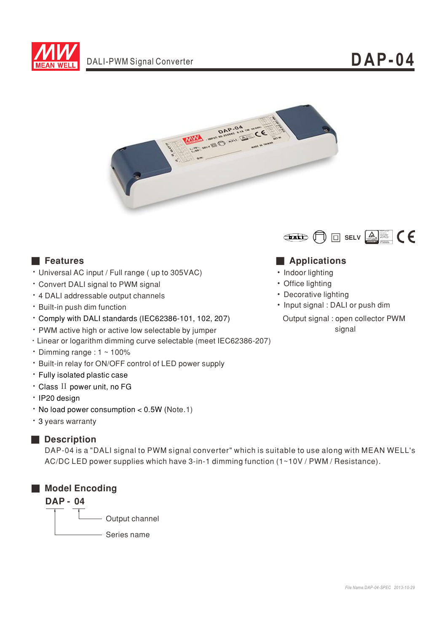



- ‧Universal AC input / Full range ( up to 305VAC)
- ‧Convert DALI signal to PWM signal
- ‧4 DALI addressable output channels
- ‧Built-in push dim function
- ‧Comply with DALI standards (IEC62386-101, 102, 207)
- ‧PWM active high or active low selectable by jumper
- ‧Linear or logarithm dimming curve selectable (meet IEC62386-207)
- Dimming range :  $1 \sim 100\%$
- ‧Built-in relay for ON/OFF control of LED power supply
- ‧Fully isolated plastic case
- Class II power unit, no FG
- ‧IP20 design
- $\cdot$  No load power consumption < 0.5W (Note.1)
- ‧3 years warranty

# ■ **Description**

DAP-04 is a "DALI signal to PWM signal converter" which is suitable to use along with MEAN WELL's AC/DC LED power supplies which have 3-in-1 dimming function (1~10V / PWM / Resistance).





# ■ **Features** ■ **Applications**

- Indoor lighting
- Office lighting
- •Decorative lighting
- Input signal : DALI or push dim
	- Output signal : open collector PWM signal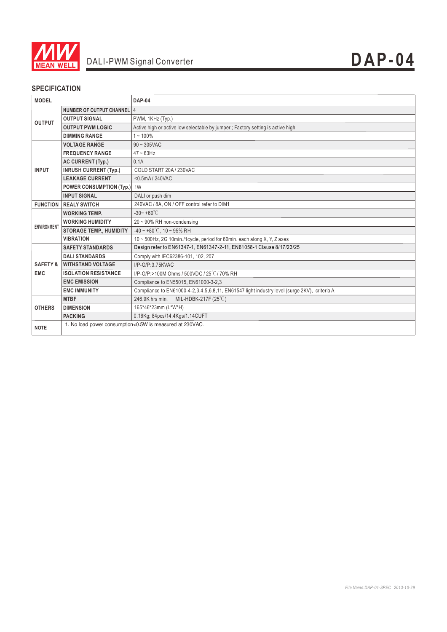

# **SPECIFICATION**

| <b>MODEL</b>                      |                                    | <b>DAP-04</b>                                                                                |
|-----------------------------------|------------------------------------|----------------------------------------------------------------------------------------------|
| <b>OUTPUT</b>                     | NUMBER OF OUTPUT CHANNEL 4         |                                                                                              |
|                                   | <b>OUTPUT SIGNAL</b>               | PWM, 1KHz (Typ.)                                                                             |
|                                   | <b>OUTPUT PWM LOGIC</b>            | Active high or active low selectable by jumper; Factory setting is active high               |
|                                   | <b>DIMMING RANGE</b>               | $1 - 100\%$                                                                                  |
| <b>INPUT</b>                      | <b>VOLTAGE RANGE</b>               | $90 \sim 305$ VAC                                                                            |
|                                   | <b>FREQUENCY RANGE</b>             | $47 - 63$ Hz                                                                                 |
|                                   | AC CURRENT (Typ.)                  | 0.1A                                                                                         |
|                                   | <b>INRUSH CURRENT (Typ.)</b>       | COLD START 20A / 230VAC                                                                      |
|                                   | <b>LEAKAGE CURRENT</b>             | <0.5mA/240VAC                                                                                |
|                                   | <b>POWER CONSUMPTION (Typ.)</b> 1W |                                                                                              |
|                                   | <b>INPUT SIGNAL</b>                | DALI or push dim                                                                             |
| <b>FUNCTION</b>                   | <b>REALY SWITCH</b>                | 240VAC / 8A, ON / OFF control refer to DIM1                                                  |
| <b>ENVIRONMENT</b>                | <b>WORKING TEMP.</b>               | $-30 - +60^{\circ}$ C                                                                        |
|                                   | <b>WORKING HUMIDITY</b>            | 20~90% RH non-condensing                                                                     |
|                                   | <b>STORAGE TEMP., HUMIDITY</b>     | $-40 \sim +80^{\circ}$ C. 10 ~ 95% RH                                                        |
|                                   | <b>VIBRATION</b>                   | 10 ~ 500Hz, 2G 10min./1cycle, period for 60min. each along X, Y, Z axes                      |
| <b>SAFETY &amp;</b><br><b>EMC</b> | <b>SAFETY STANDARDS</b>            | Design refer to EN61347-1, EN61347-2-11, EN61058-1 Clause 8/17/23/25                         |
|                                   | <b>DALI STANDARDS</b>              | Comply with IEC62386-101, 102, 207                                                           |
|                                   | <b>WITHSTAND VOLTAGE</b>           | I/P-O/P:3.75KVAC                                                                             |
|                                   | <b>ISOLATION RESISTANCE</b>        | I/P-O/P:>100M Ohms / 500VDC / 25°C / 70% RH                                                  |
|                                   | <b>EMC EMISSION</b>                | Compliance to EN55015, EN61000-3-2,3                                                         |
|                                   | <b>EMC IMMUNITY</b>                | Compliance to EN61000-4-2,3,4,5,6,8,11, EN61547 light industry level (surge 2KV), criteria A |
| <b>OTHERS</b>                     | <b>MTBF</b>                        | MIL-HDBK-217F (25°C)<br>246.9K hrs min.                                                      |
|                                   | <b>DIMENSION</b>                   | 165*46*23mm (L*W*H)                                                                          |
|                                   | <b>PACKING</b>                     | 0.16Kg; 84pcs/14.4Kgs/1.14CUFT                                                               |
| <b>NOTE</b>                       |                                    | 1. No load power consumption<0.5W is measured at 230VAC.                                     |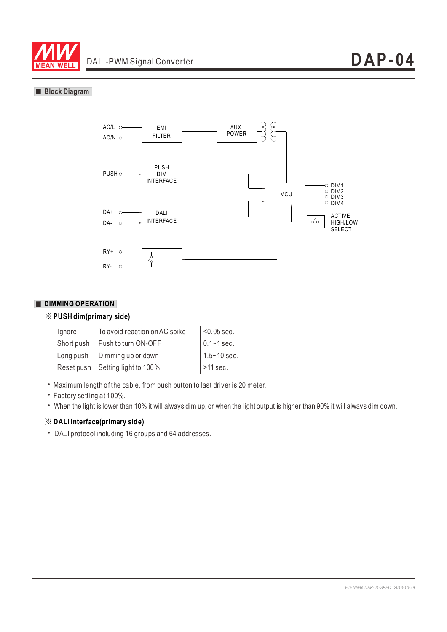

#### **Block Diagram**



### **DIMMING OPERATION**

### ※ **PUSH dim(primary side)**

| Ignore     | To avoid reaction on AC spike      | $< 0.05$ sec.   |
|------------|------------------------------------|-----------------|
| Short push | Push to turn ON-OFF                | $0.1 - 1$ sec.  |
| Long push  | Dimming up or down                 | $1.5 - 10$ sec. |
|            | Reset push   Setting light to 100% | $>11$ sec.      |

‧Maximum length of the cable, from push button to last driver is 20 meter.

‧Factory setting at 100%.

‧When the light is lower than 10% it will always dim up, or when the light output is higher than 90% it will always dim down.

#### ※ **DALI interface(primary side)**

‧DALI protocol including 16 groups and 64 addresses.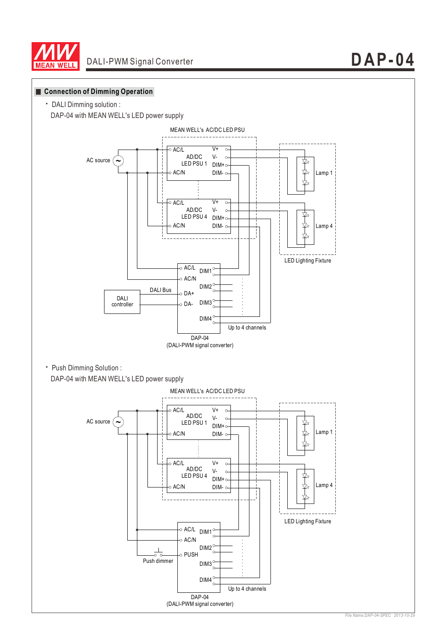





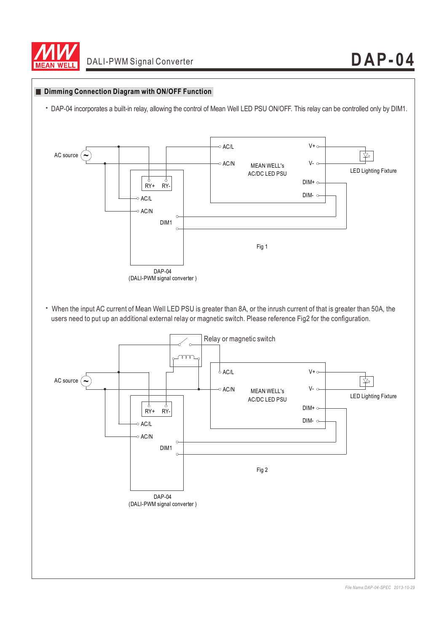

#### **Dimming Connection Diagram with ON/OFF Function**

‧DAP-04 incorporates a built-in relay, allowing the control of Mean Well LED PSU ON/OFF. This relay can be controlled only by DIM1.

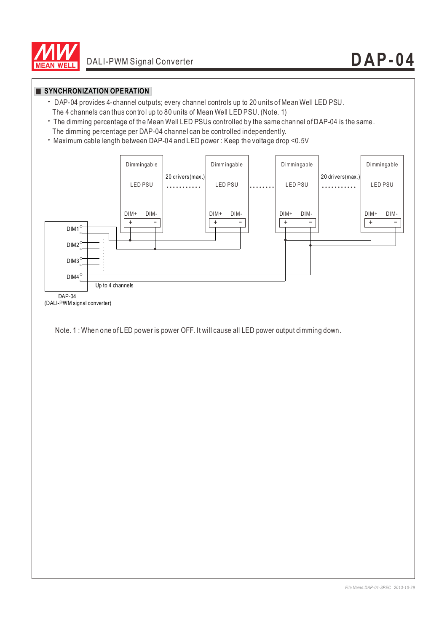

### **SYNCHRONIZATION OPERATION**

- ‧DAP-04 provides 4-channel outputs; every channel controls up to 20 units of Mean Well LED PSU. The 4 channels can thus control up to 80 units of Mean Well LED PSU. (Note. 1)
- ‧The dimming percentage of the Mean Well LED PSUs controlled by the same channel of DAP-04 is the same. The dimming percentage per DAP-04 channel can be controlled independently.
- ‧Maximum cable length between DAP-04 and LED power : Keep the voltage drop <0.5V



Note. 1 : When one of LED power is power OFF. It will cause all LED power output dimming down.